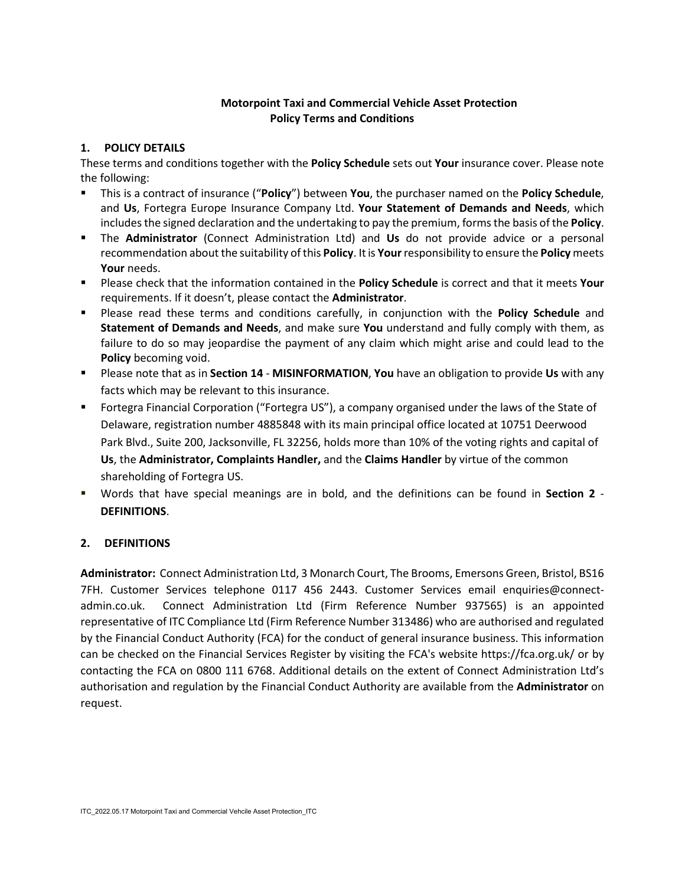## **Motorpoint Taxi and Commercial Vehicle Asset Protection Policy Terms and Conditions**

## **1. POLICY DETAILS**

These terms and conditions together with the **Policy Schedule** sets out **Your** insurance cover. Please note the following:

- This is a contract of insurance ("**Policy**") between **You**, the purchaser named on the **Policy Schedule**, and **Us**, Fortegra Europe Insurance Company Ltd. **Your Statement of Demands and Needs**, which includes the signed declaration and the undertaking to pay the premium, forms the basis of the **Policy**.
- The **Administrator** (Connect Administration Ltd) and **Us** do not provide advice or a personal recommendation about the suitability of this **Policy**. Itis **Your** responsibility to ensure the **Policy** meets **Your** needs.
- Please check that the information contained in the **Policy Schedule** is correct and that it meets **Your** requirements. If it doesn't, please contact the **Administrator**.
- Please read these terms and conditions carefully, in conjunction with the **Policy Schedule** and **Statement of Demands and Needs**, and make sure **You** understand and fully comply with them, as failure to do so may jeopardise the payment of any claim which might arise and could lead to the **Policy** becoming void.
- Please note that as in **Section 14 MISINFORMATION**, **You** have an obligation to provide **Us** with any facts which may be relevant to this insurance.
- Fortegra Financial Corporation ("Fortegra US"), a company organised under the laws of the State of Delaware, registration number 4885848 with its main principal office located at 10751 Deerwood Park Blvd., Suite 200, Jacksonville, FL 32256, holds more than 10% of the voting rights and capital of **Us**, the **Administrator, Complaints Handler,** and the **Claims Handler** by virtue of the common shareholding of Fortegra US.
- Words that have special meanings are in bold, and the definitions can be found in **Section 2 DEFINITIONS**.

# **2. DEFINITIONS**

**Administrator:** Connect Administration Ltd, 3 Monarch Court, The Brooms, Emersons Green, Bristol, BS16 7FH. Customer Services telephone 0117 456 2443. Customer Services email enquiries@connectadmin.co.uk. Connect Administration Ltd (Firm Reference Number 937565) is an appointed representative of ITC Compliance Ltd (Firm Reference Number 313486) who are authorised and regulated by the Financial Conduct Authority (FCA) for the conduct of general insurance business. This information can be checked on the Financial Services Register by visiting the FCA's website https://fca.org.uk/ or by contacting the FCA on 0800 111 6768. Additional details on the extent of Connect Administration Ltd's authorisation and regulation by the Financial Conduct Authority are available from the **Administrator** on request.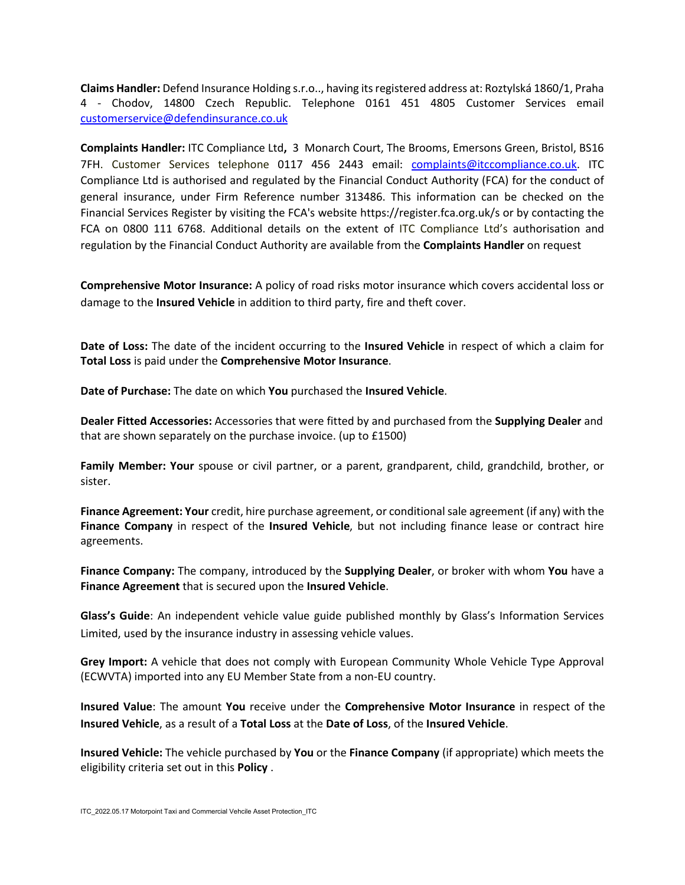**Claims Handler:** Defend Insurance Holding s.r.o.., having its registered address at: Roztylská 1860/1, Praha 4 - Chodov, 14800 Czech Republic. Telephone 0161 451 4805 Customer Services email [customerservice@defendinsurance.co.uk](mailto:customerservice@defendinsurance.co.uk)

**Complaints Handler:** ITC Compliance Ltd**,** 3 Monarch Court, The Brooms, Emersons Green, Bristol, BS16 7FH. Customer Services telephone 0117 456 2443 email: [complaints@itccompliance.co.uk.](mailto:complaints@itccompliance.co.uk) ITC Compliance Ltd is authorised and regulated by the Financial Conduct Authority (FCA) for the conduct of general insurance, under Firm Reference number 313486. This information can be checked on the Financial Services Register by visiting the FCA's website https://register.fca.org.uk/s or by contacting the FCA on 0800 111 6768. Additional details on the extent of ITC Compliance Ltd's authorisation and regulation by the Financial Conduct Authority are available from the **Complaints Handler** on request

**Comprehensive Motor Insurance:** A policy of road risks motor insurance which covers accidental loss or damage to the **Insured Vehicle** in addition to third party, fire and theft cover.

**Date of Loss:** The date of the incident occurring to the **Insured Vehicle** in respect of which a claim for **Total Loss** is paid under the **Comprehensive Motor Insurance**.

**Date of Purchase:** The date on which **You** purchased the **Insured Vehicle**.

**Dealer Fitted Accessories:** Accessories that were fitted by and purchased from the **Supplying Dealer** and that are shown separately on the purchase invoice. (up to £1500)

**Family Member: Your** spouse or civil partner, or a parent, grandparent, child, grandchild, brother, or sister.

**Finance Agreement: Your** credit, hire purchase agreement, or conditional sale agreement (if any) with the **Finance Company** in respect of the **Insured Vehicle**, but not including finance lease or contract hire agreements.

**Finance Company:** The company, introduced by the **Supplying Dealer**, or broker with whom **You** have a **Finance Agreement** that is secured upon the **Insured Vehicle**.

**Glass's Guide**: An independent vehicle value guide published monthly by Glass's Information Services Limited, used by the insurance industry in assessing vehicle values.

**Grey Import:** A vehicle that does not comply with European Community Whole Vehicle Type Approval (ECWVTA) imported into any EU Member State from a non-EU country.

**Insured Value**: The amount **You** receive under the **Comprehensive Motor Insurance** in respect of the **Insured Vehicle**, as a result of a **Total Loss** at the **Date of Loss**, of the **Insured Vehicle**.

**Insured Vehicle:** The vehicle purchased by **You** or the **Finance Company** (if appropriate) which meets the eligibility criteria set out in this **Policy** .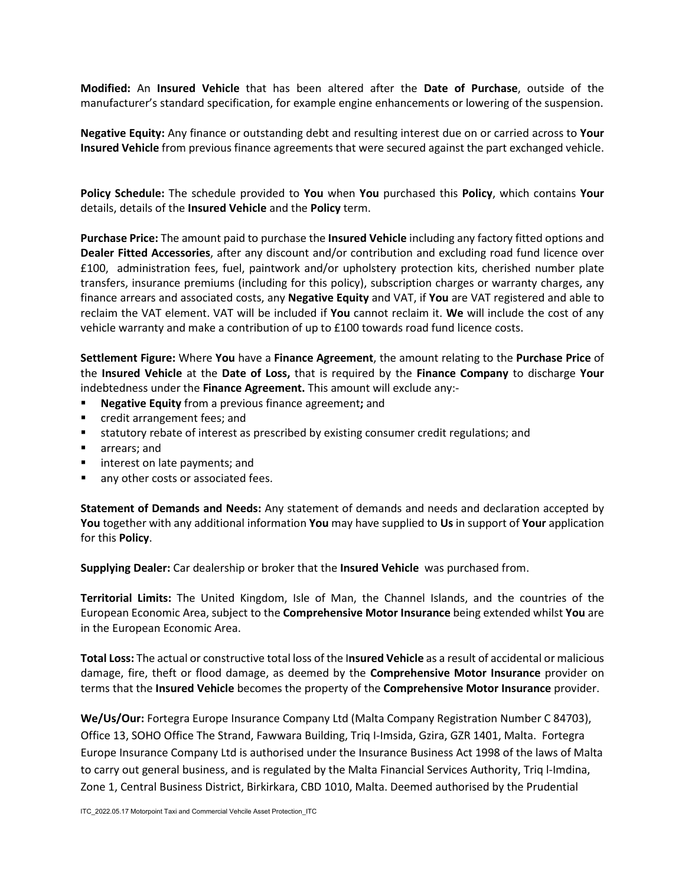**Modified:** An **Insured Vehicle** that has been altered after the **Date of Purchase**, outside of the manufacturer's standard specification, for example engine enhancements or lowering of the suspension.

**Negative Equity:** Any finance or outstanding debt and resulting interest due on or carried across to **Your Insured Vehicle** from previous finance agreements that were secured against the part exchanged vehicle.

**Policy Schedule:** The schedule provided to **You** when **You** purchased this **Policy**, which contains **Your** details, details of the **Insured Vehicle** and the **Policy** term.

**Purchase Price:** The amount paid to purchase the **Insured Vehicle** including any factory fitted options and **Dealer Fitted Accessories**, after any discount and/or contribution and excluding road fund licence over £100, administration fees, fuel, paintwork and/or upholstery protection kits, cherished number plate transfers, insurance premiums (including for this policy), subscription charges or warranty charges, any finance arrears and associated costs, any **Negative Equity** and VAT, if **You** are VAT registered and able to reclaim the VAT element. VAT will be included if **You** cannot reclaim it. **We** will include the cost of any vehicle warranty and make a contribution of up to £100 towards road fund licence costs.

**Settlement Figure:** Where **You** have a **Finance Agreement**, the amount relating to the **Purchase Price** of the **Insured Vehicle** at the **Date of Loss,** that is required by the **Finance Company** to discharge **Your**  indebtedness under the **Finance Agreement.** This amount will exclude any:-

- **Negative Equity** from a previous finance agreement**;** and
- credit arrangement fees; and
- statutory rebate of interest as prescribed by existing consumer credit regulations; and
- **n** arrears; and
- **If** interest on late payments; and
- **any other costs or associated fees.**

**Statement of Demands and Needs:** Any statement of demands and needs and declaration accepted by **You** together with any additional information **You** may have supplied to **Us** in support of **Your** application for this **Policy**.

**Supplying Dealer:** Car dealership or broker that the **Insured Vehicle** was purchased from.

**Territorial Limits:** The United Kingdom, Isle of Man, the Channel Islands, and the countries of the European Economic Area, subject to the **Comprehensive Motor Insurance** being extended whilst **You** are in the European Economic Area.

**Total Loss:** The actual or constructive total loss of the I**nsured Vehicle** as a result of accidental or malicious damage, fire, theft or flood damage, as deemed by the **Comprehensive Motor Insurance** provider on terms that the **Insured Vehicle** becomes the property of the **Comprehensive Motor Insurance** provider.

**We/Us/Our:** Fortegra Europe Insurance Company Ltd (Malta Company Registration Number C 84703), Office 13, SOHO Office The Strand, Fawwara Building, Triq I-Imsida, Gzira, GZR 1401, Malta. Fortegra Europe Insurance Company Ltd is authorised under the Insurance Business Act 1998 of the laws of Malta to carry out general business, and is regulated by the Malta Financial Services Authority, Triq l-Imdina, Zone 1, Central Business District, Birkirkara, CBD 1010, Malta. Deemed authorised by the Prudential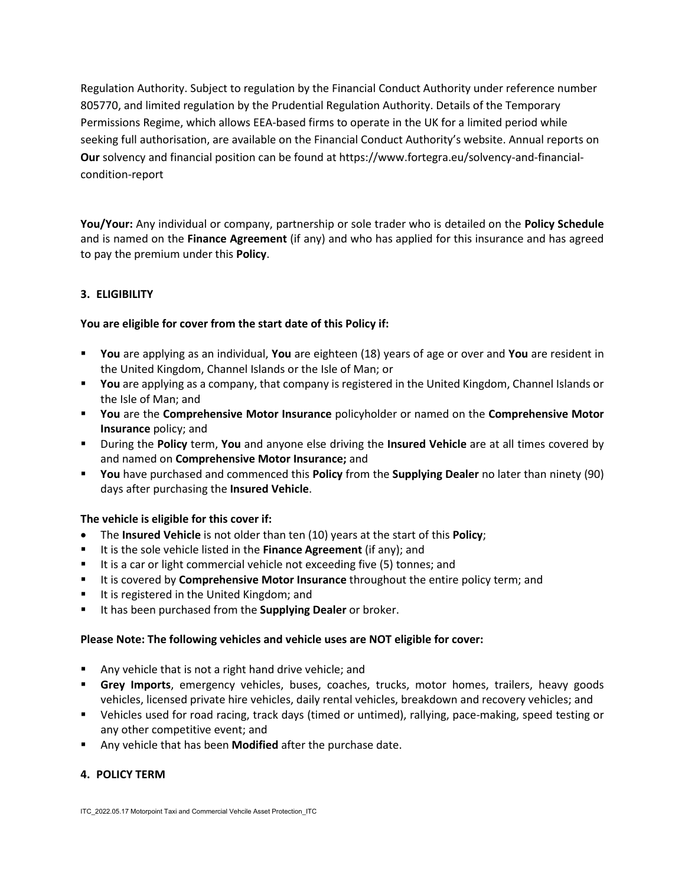Regulation Authority. Subject to regulation by the Financial Conduct Authority under reference number 805770, and limited regulation by the Prudential Regulation Authority. Details of the Temporary Permissions Regime, which allows EEA-based firms to operate in the UK for a limited period while seeking full authorisation, are available on the Financial Conduct Authority's website. Annual reports on **Our** solvency and financial position can be found at https://www.fortegra.eu/solvency-and-financialcondition-report

**You/Your:** Any individual or company, partnership or sole trader who is detailed on the **Policy Schedule** and is named on the **Finance Agreement** (if any) and who has applied for this insurance and has agreed to pay the premium under this **Policy**.

## **3. ELIGIBILITY**

### **You are eligible for cover from the start date of this Policy if:**

- **You** are applying as an individual, **You** are eighteen (18) years of age or over and **You** are resident in the United Kingdom, Channel Islands or the Isle of Man; or
- **You** are applying as a company, that company is registered in the United Kingdom, Channel Islands or the Isle of Man; and
- **You** are the **Comprehensive Motor Insurance** policyholder or named on the **Comprehensive Motor Insurance** policy; and
- During the **Policy** term, **You** and anyone else driving the **Insured Vehicle** are at all times covered by and named on **Comprehensive Motor Insurance;** and
- **You** have purchased and commenced this **Policy** from the **Supplying Dealer** no later than ninety (90) days after purchasing the **Insured Vehicle**.

### **The vehicle is eligible for this cover if:**

- The **Insured Vehicle** is not older than ten (10) years at the start of this **Policy**;
- It is the sole vehicle listed in the **Finance Agreement** (if any); and
- It is a car or light commercial vehicle not exceeding five (5) tonnes; and
- It is covered by **Comprehensive Motor Insurance** throughout the entire policy term; and
- It is registered in the United Kingdom; and
- It has been purchased from the **Supplying Dealer** or broker.

### **Please Note: The following vehicles and vehicle uses are NOT eligible for cover:**

- Any vehicle that is not a right hand drive vehicle; and
- **Grey Imports**, emergency vehicles, buses, coaches, trucks, motor homes, trailers, heavy goods vehicles, licensed private hire vehicles, daily rental vehicles, breakdown and recovery vehicles; and
- Vehicles used for road racing, track days (timed or untimed), rallying, pace-making, speed testing or any other competitive event; and
- Any vehicle that has been **Modified** after the purchase date.

### **4. POLICY TERM**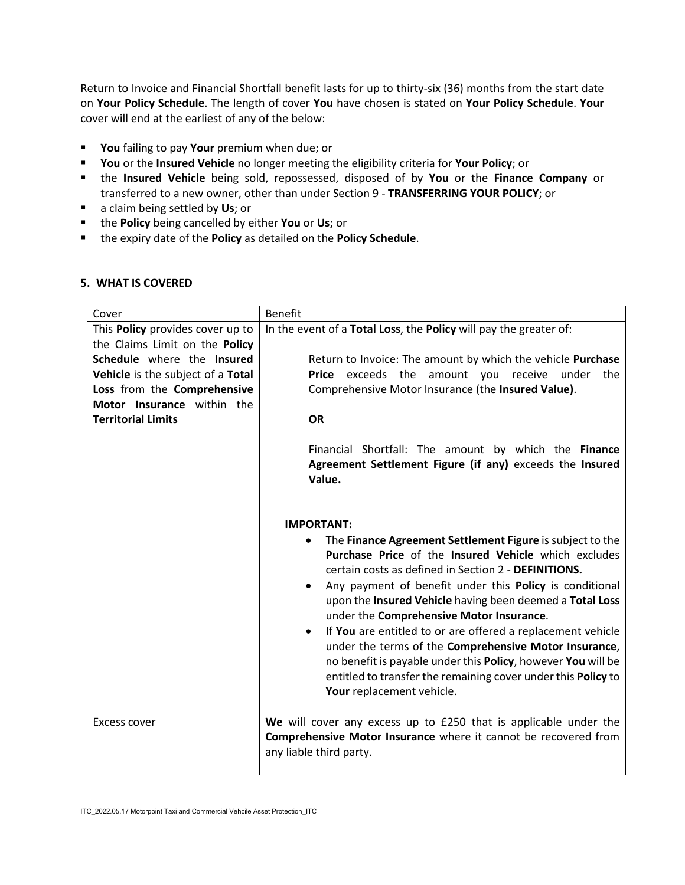Return to Invoice and Financial Shortfall benefit lasts for up to thirty-six (36) months from the start date on **Your Policy Schedule**. The length of cover **You** have chosen is stated on **Your Policy Schedule**. **Your** cover will end at the earliest of any of the below:

- **You** failing to pay **Your** premium when due; or
- **You** or the **Insured Vehicle** no longer meeting the eligibility criteria for **Your Policy**; or
- the **Insured Vehicle** being sold, repossessed, disposed of by **You** or the **Finance Company** or transferred to a new owner, other than under Section 9 - **TRANSFERRING YOUR POLICY**; or
- a claim being settled by **Us**; or
- the **Policy** being cancelled by either **You** or **Us;** or
- the expiry date of the **Policy** as detailed on the **Policy Schedule**.

### **5. WHAT IS COVERED**

| Cover                                                                                                                                                                                                                           | <b>Benefit</b>                                                                                                                                                                                                                                                                                                                                                                                                                                                                                                                                                                                                                          |
|---------------------------------------------------------------------------------------------------------------------------------------------------------------------------------------------------------------------------------|-----------------------------------------------------------------------------------------------------------------------------------------------------------------------------------------------------------------------------------------------------------------------------------------------------------------------------------------------------------------------------------------------------------------------------------------------------------------------------------------------------------------------------------------------------------------------------------------------------------------------------------------|
| This Policy provides cover up to<br>the Claims Limit on the Policy<br>Schedule where the Insured<br>Vehicle is the subject of a Total<br>Loss from the Comprehensive<br>Motor Insurance within the<br><b>Territorial Limits</b> | In the event of a Total Loss, the Policy will pay the greater of:<br>Return to Invoice: The amount by which the vehicle Purchase<br><b>Price</b> exceeds the<br>amount you receive<br>under<br>the<br>Comprehensive Motor Insurance (the Insured Value).<br><b>OR</b>                                                                                                                                                                                                                                                                                                                                                                   |
|                                                                                                                                                                                                                                 | Financial Shortfall: The amount by which the Finance<br>Agreement Settlement Figure (if any) exceeds the Insured<br>Value.<br><b>IMPORTANT:</b>                                                                                                                                                                                                                                                                                                                                                                                                                                                                                         |
|                                                                                                                                                                                                                                 | The Finance Agreement Settlement Figure is subject to the<br>٠<br>Purchase Price of the Insured Vehicle which excludes<br>certain costs as defined in Section 2 - DEFINITIONS.<br>Any payment of benefit under this Policy is conditional<br>upon the Insured Vehicle having been deemed a Total Loss<br>under the Comprehensive Motor Insurance.<br>If You are entitled to or are offered a replacement vehicle<br>under the terms of the Comprehensive Motor Insurance,<br>no benefit is payable under this Policy, however You will be<br>entitled to transfer the remaining cover under this Policy to<br>Your replacement vehicle. |
| Excess cover                                                                                                                                                                                                                    | We will cover any excess up to £250 that is applicable under the<br>Comprehensive Motor Insurance where it cannot be recovered from<br>any liable third party.                                                                                                                                                                                                                                                                                                                                                                                                                                                                          |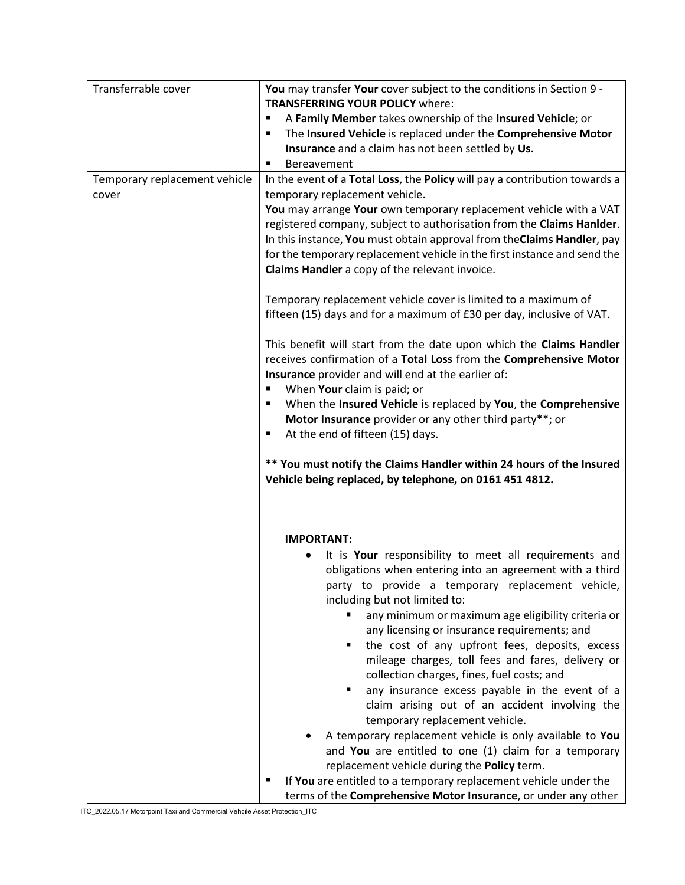| Transferrable cover           | You may transfer Your cover subject to the conditions in Section 9 -       |  |
|-------------------------------|----------------------------------------------------------------------------|--|
|                               | <b>TRANSFERRING YOUR POLICY where:</b>                                     |  |
|                               | A Family Member takes ownership of the Insured Vehicle; or                 |  |
|                               | The Insured Vehicle is replaced under the Comprehensive Motor<br>٠         |  |
|                               | Insurance and a claim has not been settled by Us.                          |  |
|                               | Bereavement<br>п                                                           |  |
| Temporary replacement vehicle | In the event of a Total Loss, the Policy will pay a contribution towards a |  |
| cover                         | temporary replacement vehicle.                                             |  |
|                               | You may arrange Your own temporary replacement vehicle with a VAT          |  |
|                               | registered company, subject to authorisation from the Claims Hanlder.      |  |
|                               | In this instance, You must obtain approval from the Claims Handler, pay    |  |
|                               | for the temporary replacement vehicle in the first instance and send the   |  |
|                               | Claims Handler a copy of the relevant invoice.                             |  |
|                               |                                                                            |  |
|                               | Temporary replacement vehicle cover is limited to a maximum of             |  |
|                               | fifteen (15) days and for a maximum of £30 per day, inclusive of VAT.      |  |
|                               |                                                                            |  |
|                               | This benefit will start from the date upon which the Claims Handler        |  |
|                               | receives confirmation of a Total Loss from the Comprehensive Motor         |  |
|                               | Insurance provider and will end at the earlier of:                         |  |
|                               | When Your claim is paid; or<br>Ξ                                           |  |
|                               | When the Insured Vehicle is replaced by You, the Comprehensive<br>٠        |  |
|                               |                                                                            |  |
|                               | Motor Insurance provider or any other third party**; or                    |  |
|                               | At the end of fifteen (15) days.<br>٠                                      |  |
|                               |                                                                            |  |
|                               |                                                                            |  |
|                               | ** You must notify the Claims Handler within 24 hours of the Insured       |  |
|                               | Vehicle being replaced, by telephone, on 0161 451 4812.                    |  |
|                               |                                                                            |  |
|                               |                                                                            |  |
|                               |                                                                            |  |
|                               | <b>IMPORTANT:</b>                                                          |  |
|                               | It is Your responsibility to meet all requirements and                     |  |
|                               | obligations when entering into an agreement with a third                   |  |
|                               | party to provide a temporary replacement vehicle,                          |  |
|                               | including but not limited to:                                              |  |
|                               | any minimum or maximum age eligibility criteria or<br>٠                    |  |
|                               | any licensing or insurance requirements; and                               |  |
|                               | the cost of any upfront fees, deposits, excess<br>٠                        |  |
|                               | mileage charges, toll fees and fares, delivery or                          |  |
|                               | collection charges, fines, fuel costs; and                                 |  |
|                               | any insurance excess payable in the event of a<br>٠                        |  |
|                               | claim arising out of an accident involving the                             |  |
|                               | temporary replacement vehicle.                                             |  |
|                               | A temporary replacement vehicle is only available to You                   |  |
|                               | and You are entitled to one (1) claim for a temporary                      |  |
|                               | replacement vehicle during the Policy term.                                |  |
|                               | If You are entitled to a temporary replacement vehicle under the           |  |

ITC\_2022.05.17 Motorpoint Taxi and Commercial Vehcile Asset Protection\_ITC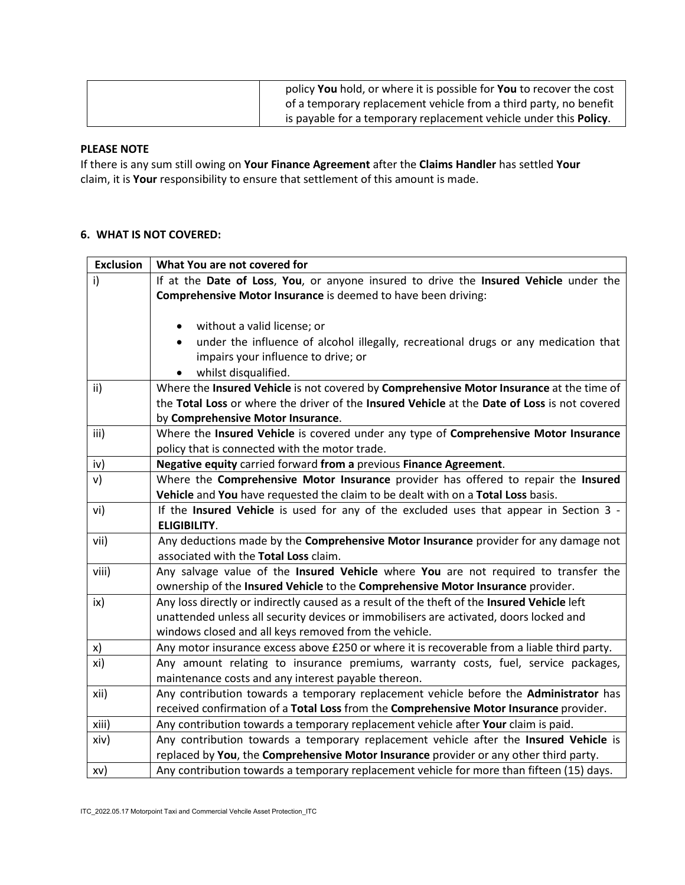| policy You hold, or where it is possible for You to recover the cost      |
|---------------------------------------------------------------------------|
| of a temporary replacement vehicle from a third party, no benefit         |
| is payable for a temporary replacement vehicle under this <b>Policy</b> . |

## **PLEASE NOTE**

If there is any sum still owing on **Your Finance Agreement** after the **Claims Handler** has settled **Your** claim, it is **Your** responsibility to ensure that settlement of this amount is made.

## **6. WHAT IS NOT COVERED:**

| <b>Exclusion</b> | What You are not covered for                                                                 |  |
|------------------|----------------------------------------------------------------------------------------------|--|
| i)               | If at the Date of Loss, You, or anyone insured to drive the Insured Vehicle under the        |  |
|                  | Comprehensive Motor Insurance is deemed to have been driving:                                |  |
|                  |                                                                                              |  |
|                  | without a valid license; or                                                                  |  |
|                  | under the influence of alcohol illegally, recreational drugs or any medication that          |  |
|                  | impairs your influence to drive; or                                                          |  |
|                  | whilst disqualified.                                                                         |  |
| ii)              | Where the Insured Vehicle is not covered by Comprehensive Motor Insurance at the time of     |  |
|                  | the Total Loss or where the driver of the Insured Vehicle at the Date of Loss is not covered |  |
|                  | by Comprehensive Motor Insurance.                                                            |  |
| iii)             | Where the Insured Vehicle is covered under any type of Comprehensive Motor Insurance         |  |
|                  | policy that is connected with the motor trade.                                               |  |
| iv)              | Negative equity carried forward from a previous Finance Agreement.                           |  |
| v)               | Where the Comprehensive Motor Insurance provider has offered to repair the Insured           |  |
|                  | Vehicle and You have requested the claim to be dealt with on a Total Loss basis.             |  |
| vi)              | If the Insured Vehicle is used for any of the excluded uses that appear in Section 3 -       |  |
|                  | <b>ELIGIBILITY.</b>                                                                          |  |
| vii)             | Any deductions made by the Comprehensive Motor Insurance provider for any damage not         |  |
|                  | associated with the Total Loss claim.                                                        |  |
| viii)            | Any salvage value of the Insured Vehicle where You are not required to transfer the          |  |
|                  | ownership of the Insured Vehicle to the Comprehensive Motor Insurance provider.              |  |
| ix)              | Any loss directly or indirectly caused as a result of the theft of the Insured Vehicle left  |  |
|                  | unattended unless all security devices or immobilisers are activated, doors locked and       |  |
|                  | windows closed and all keys removed from the vehicle.                                        |  |
| x)               | Any motor insurance excess above £250 or where it is recoverable from a liable third party.  |  |
| xi)              | Any amount relating to insurance premiums, warranty costs, fuel, service packages,           |  |
|                  | maintenance costs and any interest payable thereon.                                          |  |
| xii)             | Any contribution towards a temporary replacement vehicle before the Administrator has        |  |
|                  | received confirmation of a Total Loss from the Comprehensive Motor Insurance provider.       |  |
| xiii)            | Any contribution towards a temporary replacement vehicle after Your claim is paid.           |  |
| xiv)             | Any contribution towards a temporary replacement vehicle after the Insured Vehicle is        |  |
|                  | replaced by You, the Comprehensive Motor Insurance provider or any other third party.        |  |
| xv)              | Any contribution towards a temporary replacement vehicle for more than fifteen (15) days.    |  |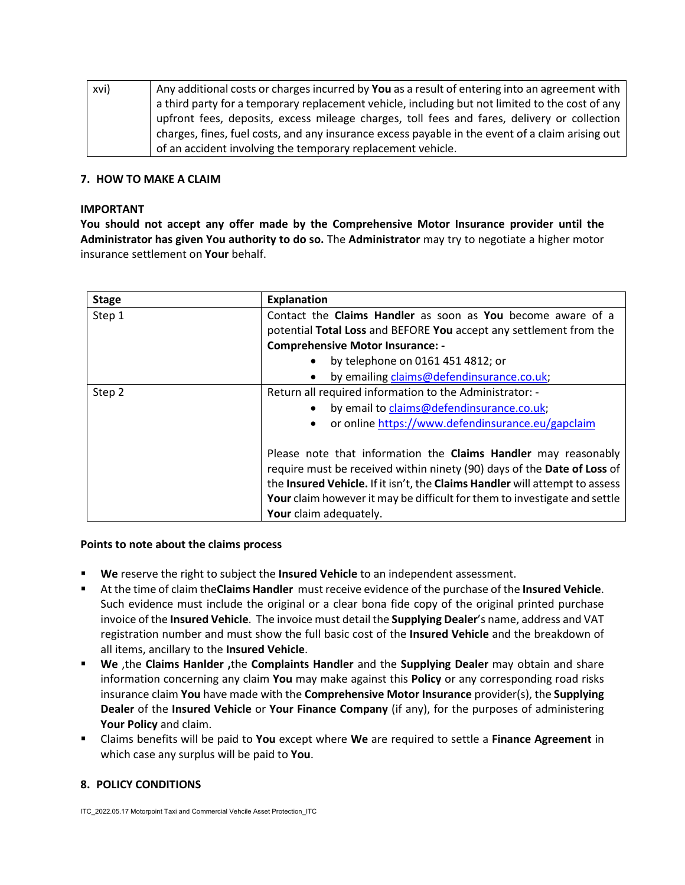| xvi) | Any additional costs or charges incurred by You as a result of entering into an agreement with   |
|------|--------------------------------------------------------------------------------------------------|
|      | a third party for a temporary replacement vehicle, including but not limited to the cost of any  |
|      | upfront fees, deposits, excess mileage charges, toll fees and fares, delivery or collection      |
|      | charges, fines, fuel costs, and any insurance excess payable in the event of a claim arising out |
|      | of an accident involving the temporary replacement vehicle.                                      |

#### **7. HOW TO MAKE A CLAIM**

#### **IMPORTANT**

**You should not accept any offer made by the Comprehensive Motor Insurance provider until the Administrator has given You authority to do so.** The **Administrator** may try to negotiate a higher motor insurance settlement on **Your** behalf.

| <b>Stage</b> | <b>Explanation</b>                                                                                                                        |  |  |
|--------------|-------------------------------------------------------------------------------------------------------------------------------------------|--|--|
| Step 1       | Contact the Claims Handler as soon as You become aware of a                                                                               |  |  |
|              | potential Total Loss and BEFORE You accept any settlement from the                                                                        |  |  |
|              | <b>Comprehensive Motor Insurance: -</b>                                                                                                   |  |  |
|              | by telephone on 0161 451 4812; or<br>$\bullet$                                                                                            |  |  |
|              | by emailing claims@defendinsurance.co.uk;<br>$\bullet$                                                                                    |  |  |
| Step 2       | Return all required information to the Administrator: -                                                                                   |  |  |
|              | by email to claims@defendinsurance.co.uk;<br>$\bullet$                                                                                    |  |  |
|              | or online https://www.defendinsurance.eu/gapclaim<br>$\bullet$                                                                            |  |  |
|              |                                                                                                                                           |  |  |
|              | Please note that information the Claims Handler may reasonably<br>require must be received within ninety (90) days of the Date of Loss of |  |  |
|              |                                                                                                                                           |  |  |
|              | the Insured Vehicle. If it isn't, the Claims Handler will attempt to assess                                                               |  |  |
|              | Your claim however it may be difficult for them to investigate and settle<br>Your claim adequately.                                       |  |  |
|              |                                                                                                                                           |  |  |

#### **Points to note about the claims process**

- **We** reserve the right to subject the **Insured Vehicle** to an independent assessment.
- At the time of claim the**Claims Handler** must receive evidence of the purchase of the **Insured Vehicle**. Such evidence must include the original or a clear bona fide copy of the original printed purchase invoice of the **Insured Vehicle**. The invoice must detail the **Supplying Dealer**'s name, address and VAT registration number and must show the full basic cost of the **Insured Vehicle** and the breakdown of all items, ancillary to the **Insured Vehicle**.
- **We** ,the **Claims Hanlder ,**the **Complaints Handler** and the **Supplying Dealer** may obtain and share information concerning any claim **You** may make against this **Policy** or any corresponding road risks insurance claim **You** have made with the **Comprehensive Motor Insurance** provider(s), the **Supplying Dealer** of the **Insured Vehicle** or **Your Finance Company** (if any), for the purposes of administering **Your Policy** and claim.
- Claims benefits will be paid to **You** except where **We** are required to settle a **Finance Agreement** in which case any surplus will be paid to **You**.

### **8. POLICY CONDITIONS**

ITC\_2022.05.17 Motorpoint Taxi and Commercial Vehcile Asset Protection\_ITC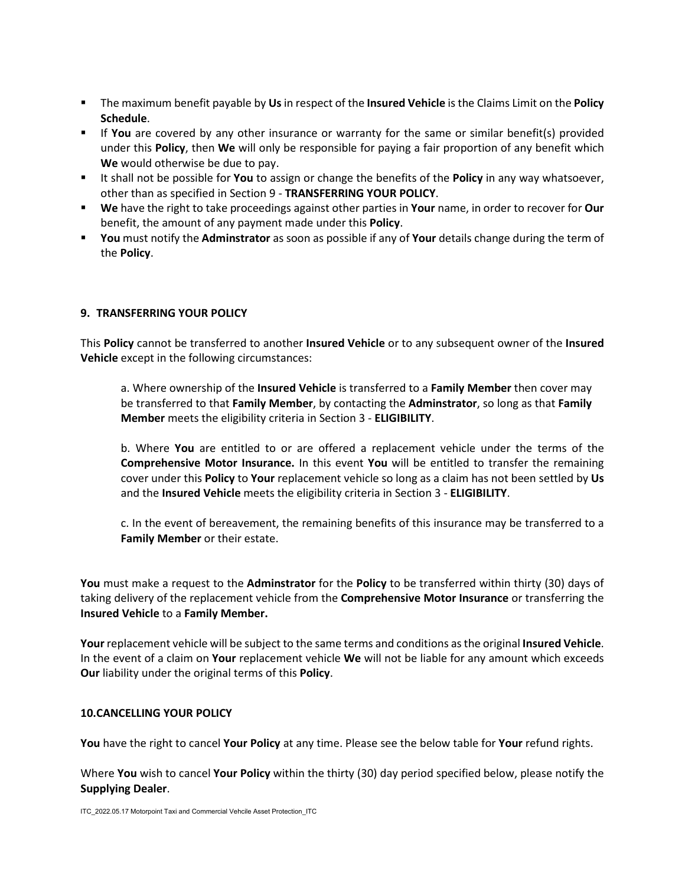- The maximum benefit payable by **Us**in respect of the **Insured Vehicle** is the Claims Limit on the **Policy Schedule**.
- If **You** are covered by any other insurance or warranty for the same or similar benefit(s) provided under this **Policy**, then **We** will only be responsible for paying a fair proportion of any benefit which **We** would otherwise be due to pay.
- It shall not be possible for **You** to assign or change the benefits of the **Policy** in any way whatsoever, other than as specified in Section 9 - **TRANSFERRING YOUR POLICY**.
- **We** have the right to take proceedings against other parties in **Your** name, in order to recover for **Our** benefit, the amount of any payment made under this **Policy**.
- **You** must notify the **Adminstrator** as soon as possible if any of **Your** details change during the term of the **Policy**.

## **9. TRANSFERRING YOUR POLICY**

This **Policy** cannot be transferred to another **Insured Vehicle** or to any subsequent owner of the **Insured Vehicle** except in the following circumstances:

a. Where ownership of the **Insured Vehicle** is transferred to a **Family Member** then cover may be transferred to that **Family Member**, by contacting the **Adminstrator**, so long as that **Family Member** meets the eligibility criteria in Section 3 - **ELIGIBILITY**.

b. Where **You** are entitled to or are offered a replacement vehicle under the terms of the **Comprehensive Motor Insurance.** In this event **You** will be entitled to transfer the remaining cover under this **Policy** to **Your** replacement vehicle so long as a claim has not been settled by **Us** and the **Insured Vehicle** meets the eligibility criteria in Section 3 - **ELIGIBILITY**.

c. In the event of bereavement, the remaining benefits of this insurance may be transferred to a **Family Member** or their estate.

**You** must make a request to the **Adminstrator** for the **Policy** to be transferred within thirty (30) days of taking delivery of the replacement vehicle from the **Comprehensive Motor Insurance** or transferring the **Insured Vehicle** to a **Family Member.**

**Your** replacement vehicle will be subject to the same terms and conditions as the original **Insured Vehicle**. In the event of a claim on **Your** replacement vehicle **We** will not be liable for any amount which exceeds **Our** liability under the original terms of this **Policy**.

### **10.CANCELLING YOUR POLICY**

**You** have the right to cancel **Your Policy** at any time. Please see the below table for **Your** refund rights.

Where **You** wish to cancel **Your Policy** within the thirty (30) day period specified below, please notify the **Supplying Dealer**.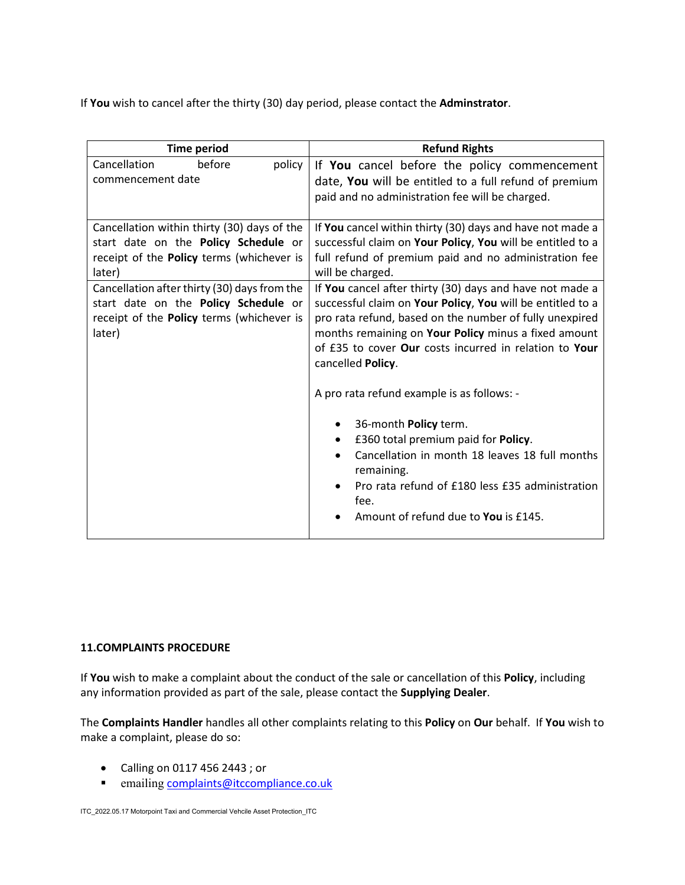If **You** wish to cancel after the thirty (30) day period, please contact the **Adminstrator**.

| <b>Time period</b>                                                                                                                          | <b>Refund Rights</b>                                                                                                                                                                                                                                                                                                                                                                                                                                                                                                                                                                                                   |
|---------------------------------------------------------------------------------------------------------------------------------------------|------------------------------------------------------------------------------------------------------------------------------------------------------------------------------------------------------------------------------------------------------------------------------------------------------------------------------------------------------------------------------------------------------------------------------------------------------------------------------------------------------------------------------------------------------------------------------------------------------------------------|
| Cancellation<br>before<br>policy<br>commencement date                                                                                       | If You cancel before the policy commencement<br>date, You will be entitled to a full refund of premium                                                                                                                                                                                                                                                                                                                                                                                                                                                                                                                 |
|                                                                                                                                             | paid and no administration fee will be charged.                                                                                                                                                                                                                                                                                                                                                                                                                                                                                                                                                                        |
| Cancellation within thirty (30) days of the<br>start date on the Policy Schedule or<br>receipt of the Policy terms (whichever is<br>later)  | If You cancel within thirty (30) days and have not made a<br>successful claim on Your Policy, You will be entitled to a<br>full refund of premium paid and no administration fee<br>will be charged.                                                                                                                                                                                                                                                                                                                                                                                                                   |
| Cancellation after thirty (30) days from the<br>start date on the Policy Schedule or<br>receipt of the Policy terms (whichever is<br>later) | If You cancel after thirty (30) days and have not made a<br>successful claim on Your Policy, You will be entitled to a<br>pro rata refund, based on the number of fully unexpired<br>months remaining on Your Policy minus a fixed amount<br>of £35 to cover Our costs incurred in relation to Your<br>cancelled Policy.<br>A pro rata refund example is as follows: -<br>36-month Policy term.<br>£360 total premium paid for <b>Policy</b> .<br>٠<br>Cancellation in month 18 leaves 18 full months<br>remaining.<br>Pro rata refund of £180 less £35 administration<br>fee.<br>Amount of refund due to You is £145. |

### **11.COMPLAINTS PROCEDURE**

If **You** wish to make a complaint about the conduct of the sale or cancellation of this **Policy**, including any information provided as part of the sale, please contact the **Supplying Dealer**.

The **Complaints Handler** handles all other complaints relating to this **Policy** on **Our** behalf. If **You** wish to make a complaint, please do so:

- Calling on 0117 456 2443 ; or
- emailing [complaints@itccompliance.co.uk](mailto:complaints@itccompliance.co.uk)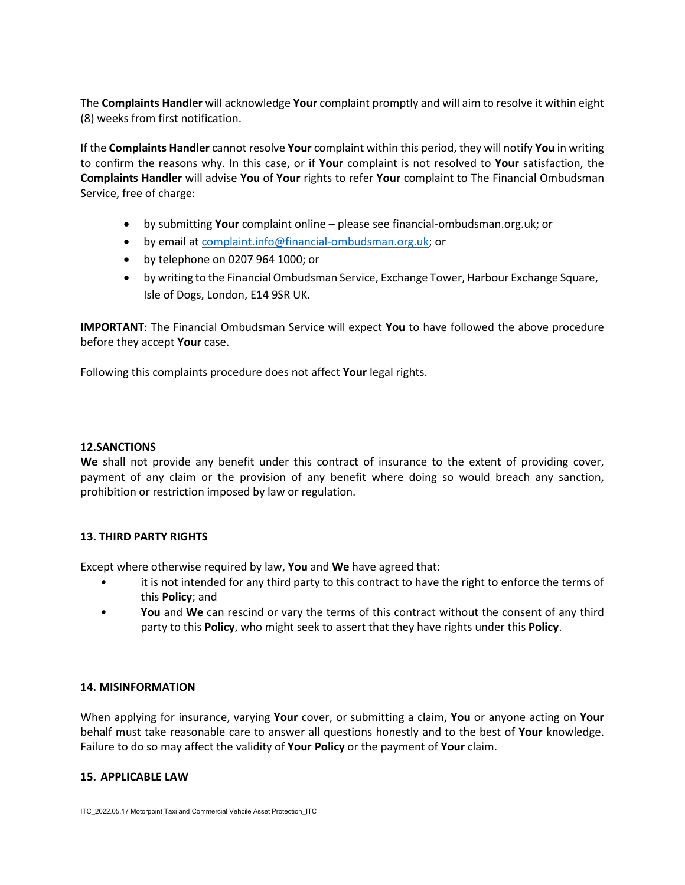The **Complaints Handler** will acknowledge **Your** complaint promptly and will aim to resolve it within eight (8) weeks from first notification.

If the **Complaints Handler** cannot resolve **Your** complaint within this period, they will notify **You** in writing to confirm the reasons why. In this case, or if **Your** complaint is not resolved to **Your** satisfaction, the **Complaints Handler** will advise **You** of **Your** rights to refer **Your** complaint to The Financial Ombudsman Service, free of charge:

- by submitting **Your** complaint online please see financial-ombudsman.org.uk; or
- by email at [complaint.info@financial-ombudsman.org.uk;](mailto:complaint.info@financial-ombudsman.org.uk) or
- by telephone on 0207 964 1000; or
- by writing to the Financial Ombudsman Service, Exchange Tower, Harbour Exchange Square, Isle of Dogs, London, E14 9SR UK.

**IMPORTANT**: The Financial Ombudsman Service will expect **You** to have followed the above procedure before they accept **Your** case.

Following this complaints procedure does not affect **Your** legal rights.

### **12.SANCTIONS**

**We** shall not provide any benefit under this contract of insurance to the extent of providing cover, payment of any claim or the provision of any benefit where doing so would breach any sanction, prohibition or restriction imposed by law or regulation.

### **13. THIRD PARTY RIGHTS**

Except where otherwise required by law, **You** and **We** have agreed that:

- it is not intended for any third party to this contract to have the right to enforce the terms of this **Policy**; and
- **You** and **We** can rescind or vary the terms of this contract without the consent of any third party to this **Policy**, who might seek to assert that they have rights under this **Policy**.

### **14. MISINFORMATION**

When applying for insurance, varying **Your** cover, or submitting a claim, **You** or anyone acting on **Your** behalf must take reasonable care to answer all questions honestly and to the best of **Your** knowledge. Failure to do so may affect the validity of **Your Policy** or the payment of **Your** claim.

### **15. APPLICABLE LAW**

ITC\_2022.05.17 Motorpoint Taxi and Commercial Vehcile Asset Protection\_ITC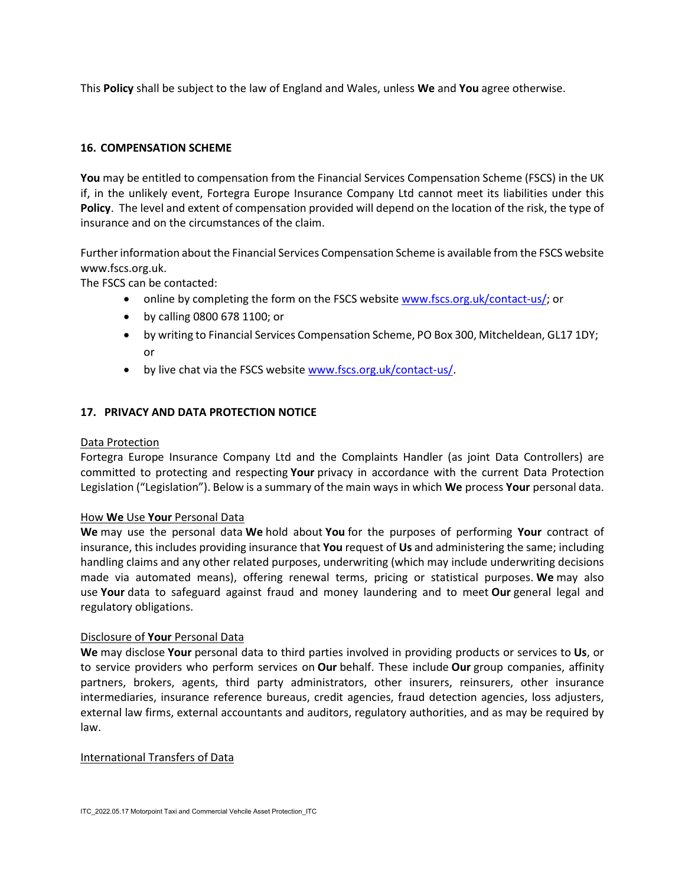This **Policy** shall be subject to the law of England and Wales, unless **We** and **You** agree otherwise.

## **16. COMPENSATION SCHEME**

**You** may be entitled to compensation from the Financial Services Compensation Scheme (FSCS) in the UK if, in the unlikely event, Fortegra Europe Insurance Company Ltd cannot meet its liabilities under this **Policy**. The level and extent of compensation provided will depend on the location of the risk, the type of insurance and on the circumstances of the claim.

Further information about the Financial Services Compensation Scheme is available from the FSCS website www.fscs.org.uk.

The FSCS can be contacted:

- online by completing the form on the FSCS website [www.fscs.org.uk/contact-us/;](http://www.fscs.org.uk/contact-us/) or
- by calling 0800 678 1100; or
- by writing to Financial Services Compensation Scheme, PO Box 300, Mitcheldean, GL17 1DY; or
- by live chat via the FSCS website [www.fscs.org.uk/contact-us/.](http://www.fscs.org.uk/contact-us/)

## **17. PRIVACY AND DATA PROTECTION NOTICE**

#### Data Protection

Fortegra Europe Insurance Company Ltd and the Complaints Handler (as joint Data Controllers) are committed to protecting and respecting **Your** privacy in accordance with the current Data Protection Legislation ("Legislation"). Below is a summary of the main ways in which **We** process **Your** personal data.

#### How **We** Use **Your** Personal Data

**We** may use the personal data **We** hold about **You** for the purposes of performing **Your** contract of insurance, this includes providing insurance that **You** request of **Us** and administering the same; including handling claims and any other related purposes, underwriting (which may include underwriting decisions made via automated means), offering renewal terms, pricing or statistical purposes. **We** may also use **Your** data to safeguard against fraud and money laundering and to meet **Our** general legal and regulatory obligations.

### Disclosure of **Your** Personal Data

**We** may disclose **Your** personal data to third parties involved in providing products or services to **Us**, or to service providers who perform services on **Our** behalf. These include **Our** group companies, affinity partners, brokers, agents, third party administrators, other insurers, reinsurers, other insurance intermediaries, insurance reference bureaus, credit agencies, fraud detection agencies, loss adjusters, external law firms, external accountants and auditors, regulatory authorities, and as may be required by law.

#### International Transfers of Data